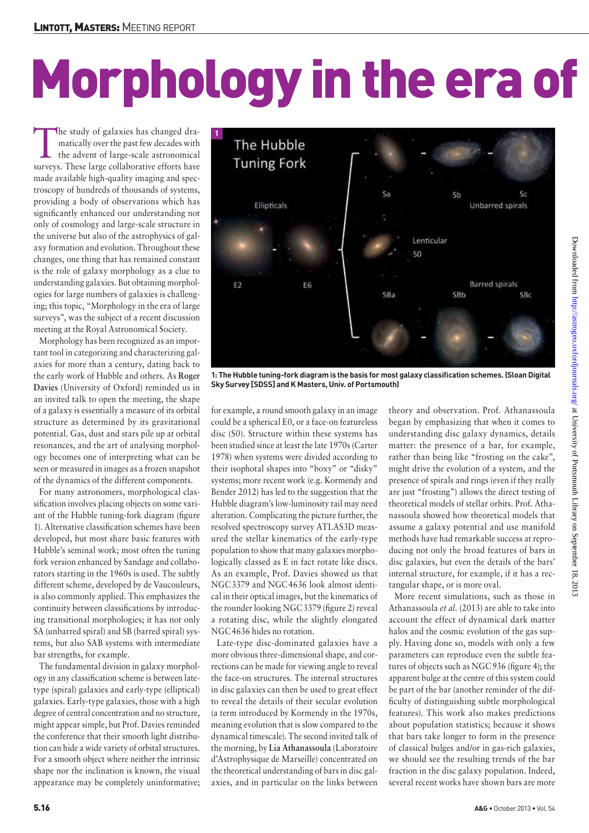# Morphology in the era of

The study of galaxies has changed dra-<br>
matically over the past few decades with<br>
the advent of large-scale astronomical<br>
The value of large-scale astronomical matically over the past few decades with surveys. These large collaborative efforts have made available high-quality imaging and spectroscopy of hundreds of thousands of systems, providing a body of observations which has significantly enhanced our understanding not only of cosmology and large-scale structure in the universe but also of the astrophysics of galaxy formation and evolution. Throughout these changes, one thing that has remained constant is the role of galaxy morphology as a clue to understanding galaxies. But obtaining morphologies for large numbers of galaxies is challenging; this topic, "Morphology in the era of large surveys", was the subject of a recent discussion meeting at the Royal Astronomical Society.

Morphology has been recognized as an important tool in categorizing and characterizing galaxies for more than a century, dating back to the early work of Hubble and others. As **Roger Davies** (University of Oxford) reminded us in an invited talk to open the meeting, the shape of a galaxy is essentially a measure of its orbital structure as determined by its gravitational potential. Gas, dust and stars pile up at orbital resonances, and the art of analysing morphology becomes one of interpreting what can be seen or measured in images as a frozen snapshot of the dynamics of the different components.

For many astronomers, morphological classification involves placing objects on some variant of the Hubble tuning-fork diagram (figure 1). Alternative classification schemes have been developed, but most share basic features with Hubble's seminal work; most often the tuning fork version enhanced by Sandage and collaborators starting in the 1960s is used. The subtly different scheme, developed by de Vaucouleurs, is also commonly applied. This emphasizes the continuity between classifications by introducing transitional morphologies; it has not only SA (unbarred spiral) and SB (barred spiral) systems, but also SAB systems with intermediate bar strengths, for example.

The fundamental division in galaxy morphology in any classification scheme is between latetype (spiral) galaxies and early-type (elliptical) galaxies. Early-type galaxies, those with a high degree of central concentration and no structure, might appear simple, but Prof. Davies reminded the conference that their smooth light distribution can hide a wide variety of orbital structures. For a smooth object where neither the intrinsic shape nor the inclination is known, the visual appearance may be completely uninformative;



**1: The Hubble tuning-fork diagram is the basis for most galaxy classification schemes. (Sloan Digital Sky Survey [SDSS] and K Masters, Univ. of Portsmouth)**

for example, a round smooth galaxy in an image could be a spherical E0, or a face-on featureless disc (S0). Structure within these systems has been studied since at least the late 1970s (Carter 1978) when systems were divided according to their isophotal shapes into "boxy" or "disky" systems; more recent work (e.g. Kormendy and Bender 2012) has led to the suggestion that the Hubble diagram's low-luminosity tail may need alteration. Complicating the picture further, the resolved spectroscopy survey ATLAS3D measured the stellar kinematics of the early-type population to show that many galaxies morphologically classed as E in fact rotate like discs. As an example, Prof. Davies showed us that NGC3379 and NGC4636 look almost identical in their optical images, but the kinematics of the rounder looking NGC3379 (figure 2) reveal a rotating disc, while the slightly elongated NGC4636 hides no rotation.

Late-type disc-dominated galaxies have a more obvious three-dimensional shape, and corrections can be made for viewing angle to reveal the face-on structures. The internal structures in disc galaxies can then be used to great effect to reveal the details of their secular evolution (a term introduced by Kormendy in the 1970s, meaning evolution that is slow compared to the dynamical timescale). The second invited talk of the morning, by **Lia Athanassoula** (Laboratoire d'Astrophysique de Marseille) concentrated on the theoretical understanding of bars in disc galaxies, and in particular on the links between

theory and observation. Prof. Athanassoula began by emphasizing that when it comes to understanding disc galaxy dynamics, details matter: the presence of a bar, for example, rather than being like "frosting on the cake", might drive the evolution of a system, and the presence of spirals and rings (even if they really are just "frosting") allows the direct testing of theoretical models of stellar orbits. Prof. Athanassoula showed how theoretical models that assume a galaxy potential and use manifold methods have had remarkable success at reproducing not only the broad features of bars in disc galaxies, but even the details of the bars' internal structure, for example, if it has a rectangular shape, or is more oval.

More recent simulations, such as those in Athanassoula *et al.* (2013) are able to take into account the effect of dynamical dark matter halos and the cosmic evolution of the gas supply. Having done so, models with only a few parameters can reproduce even the subtle features of objects such as NGC936 (figure 4); the apparent bulge at the centre of this system could be part of the bar (another reminder of the difficulty of distinguishing subtle morphological features). This work also makes predictions about population statistics; because it shows that bars take longer to form in the presence of classical bulges and/or in gas-rich galaxies, we should see the resulting trends of the bar fraction in the disc galaxy population. Indeed, several recent works have shown bars are more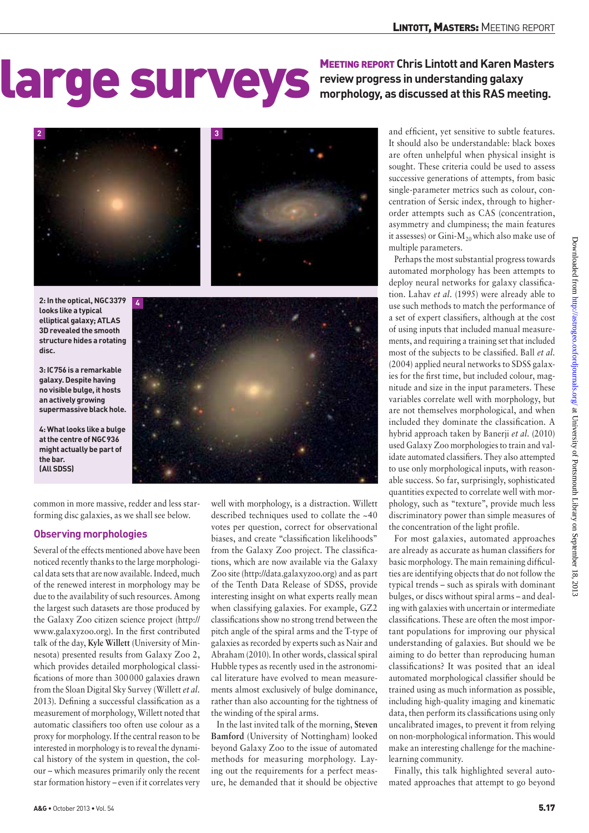## MEETING REPORT Chris Lintott and Karen Masters review progress in understanding galaxy morphology, as discussed at this RAS meeting.

**review progress in understanding galaxy morphology, as discussed at this RAS meeting.**



**2: In the optical, NGC3379 looks like a typical elliptical galaxy; ATLAS 3D revealed the smooth structure hides a rotating disc.**



**4: What looks like a bulge at the centre of NGC936 might actually be part of the bar. (All SDSS)**



common in more massive, redder and less starforming disc galaxies, as we shall see below.

## **Observing morphologies**

Several of the effects mentioned above have been noticed recently thanks to the large morphological data sets that are now available. Indeed, much of the renewed interest in morphology may be due to the availability of such resources. Among the largest such datasets are those produced by the Galaxy Zoo citizen science project [\(http://](http://www.galaxyzoo.org) [www.galaxyzoo.org](http://www.galaxyzoo.org)). In the first contributed talk of the day, **Kyle Willett** (University of Minnesota) presented results from Galaxy Zoo 2, which provides detailed morphological classifications of more than 300000 galaxies drawn from the Sloan Digital Sky Survey (Willett *et al.*  2013). Defining a successful classification as a measurement of morphology, Willett noted that automatic classifiers too often use colour as a proxy for morphology. If the central reason to be interested in morphology is to reveal the dynamical history of the system in question, the colour – which measures primarily only the recent star formation history – even if it correlates very well with morphology, is a distraction. Willett described techniques used to collate the ~40 votes per question, correct for observational biases, and create "classification likelihoods" from the Galaxy Zoo project. The classifications, which are now available via the Galaxy Zoo site ([http://data.galaxyzoo.org\)](http://data.galaxyzoo.org) and as part of the Tenth Data Release of SDSS, provide interesting insight on what experts really mean when classifying galaxies. For example, GZ2 classifications show no strong trend between the pitch angle of the spiral arms and the T-type of galaxies as recorded by experts such as Nair and Abraham (2010). In other words, classical spiral Hubble types as recently used in the astronomical literature have evolved to mean measurements almost exclusively of bulge dominance, rather than also accounting for the tightness of the winding of the spiral arms.

In the last invited talk of the morning, **Steven Bamford** (University of Nottingham) looked beyond Galaxy Zoo to the issue of automated methods for measuring morphology. Laying out the requirements for a perfect measure, he demanded that it should be objective and efficient, yet sensitive to subtle features. It should also be understandable: black boxes are often unhelpful when physical insight is sought. These criteria could be used to assess successive generations of attempts, from basic single-parameter metrics such as colour, concentration of Sersic index, through to higherorder attempts such as CAS (concentration, asymmetry and clumpiness; the main features it assesses) or Gini- $M_{20}$  which also make use of multiple parameters.

Perhaps the most substantial progress towards automated morphology has been attempts to deploy neural networks for galaxy classification. Lahav *et al.* (1995) were already able to use such methods to match the performance of a set of expert classifiers, although at the cost of using inputs that included manual measurements, and requiring a training set that included most of the subjects to be classified. Ball *et al.*  (2004) applied neural networks to SDSS galaxies for the first time, but included colour, magnitude and size in the input parameters. These variables correlate well with morphology, but are not themselves morphological, and when included they dominate the classification. A hybrid approach taken by Banerji *et al.* (2010) used Galaxy Zoo morphologies to train and validate automated classifiers. They also attempted to use only morphological inputs, with reasonable success. So far, surprisingly, sophisticated quantities expected to correlate well with morphology, such as "texture", provide much less discriminatory power than simple measures of the concentration of the light profile.

For most galaxies, automated approaches are already as accurate as human classifiers for basic morphology. The main remaining difficulties are identifying objects that do not follow the typical trends – such as spirals with dominant bulges, or discs without spiral arms – and dealing with galaxies with uncertain or intermediate classifications. These are often the most important populations for improving our physical understanding of galaxies. But should we be aiming to do better than reproducing human classifications? It was posited that an ideal automated morphological classifier should be trained using as much information as possible, including high-quality imaging and kinematic data, then perform its classifications using only uncalibrated images, to prevent it from relying on non-morphological information. This would make an interesting challenge for the machinelearning community.

Finally, this talk highlighted several automated approaches that attempt to go beyond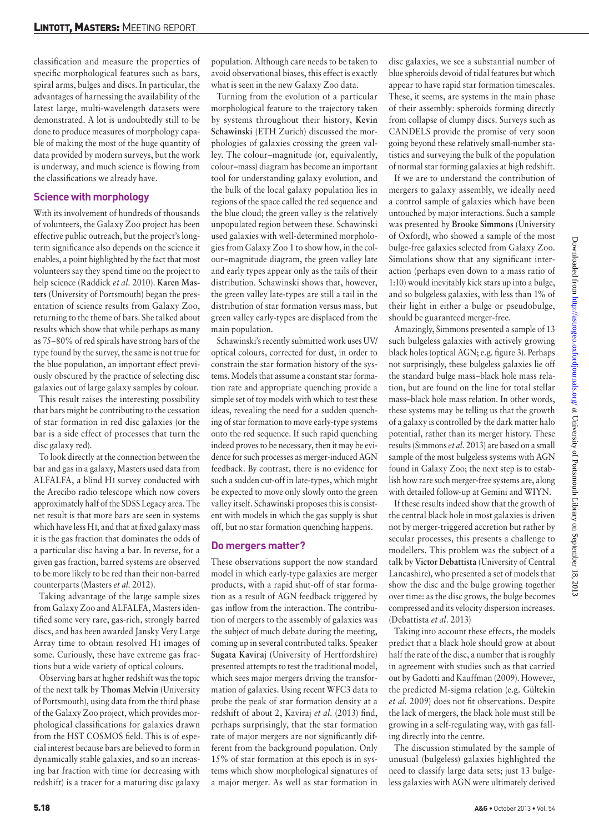classification and measure the properties of specific morphological features such as bars, spiral arms, bulges and discs. In particular, the advantages of harnessing the availability of the latest large, multi-wavelength datasets were demonstrated. A lot is undoubtedly still to be done to produce measures of morphology capable of making the most of the huge quantity of data provided by modern surveys, but the work is underway, and much science is flowing from the classifications we already have.

### **Science with morphology**

With its involvement of hundreds of thousands of volunteers, the Galaxy Zoo project has been effective public outreach, but the project's longterm significance also depends on the science it enables, a point highlighted by the fact that most volunteers say they spend time on the project to help science (Raddick *et al.* 2010). **Karen Masters** (University of Portsmouth) began the presentation of science results from Galaxy Zoo, returning to the theme of bars. She talked about results which show that while perhaps as many as 75–80% of red spirals have strong bars of the type found by the survey, the same is not true for the blue population, an important effect previously obscured by the practice of selecting disc galaxies out of large galaxy samples by colour.

This result raises the interesting possibility that bars might be contributing to the cessation of star formation in red disc galaxies (or the bar is a side effect of processes that turn the disc galaxy red).

To look directly at the connection between the bar and gas in a galaxy, Masters used data from ALFALFA, a blind Hi survey conducted with the Arecibo radio telescope which now covers approximately half of the SDSS Legacy area. The net result is that more bars are seen in systems which have less Hi, and that at fixed galaxy mass it is the gas fraction that dominates the odds of a particular disc having a bar. In reverse, for a given gas fraction, barred systems are observed to be more likely to be red than their non-barred counterparts (Masters *et al.* 2012).

Taking advantage of the large sample sizes from Galaxy Zoo and ALFALFA, Masters identified some very rare, gas-rich, strongly barred discs, and has been awarded Jansky Very Large Array time to obtain resolved HI images of some. Curiously, these have extreme gas fractions but a wide variety of optical colours.

Observing bars at higher redshift was the topic of the next talk by **Thomas Melvin** (University of Portsmouth), using data from the third phase of the Galaxy Zoo project, which provides morphological classifications for galaxies drawn from the HST COSMOS field. This is of especial interest because bars are believed to form in dynamically stable galaxies, and so an increasing bar fraction with time (or decreasing with redshift) is a tracer for a maturing disc galaxy

population. Although care needs to be taken to avoid observational biases, this effect is exactly what is seen in the new Galaxy Zoo data.

Turning from the evolution of a particular morphological feature to the trajectory taken by systems throughout their history, **Kevin Schawinski** (ETH Zurich) discussed the morphologies of galaxies crossing the green valley. The colour–magnitude (or, equivalently, colour–mass) diagram has become an important tool for understanding galaxy evolution, and the bulk of the local galaxy population lies in regions of the space called the red sequence and the blue cloud; the green valley is the relatively unpopulated region between these. Schawinski used galaxies with well-determined morphologies from Galaxy Zoo 1 to show how, in the colour–magnitude diagram, the green valley late and early types appear only as the tails of their distribution. Schawinski shows that, however, the green valley late-types are still a tail in the distribution of star formation versus mass, but green valley early-types are displaced from the main population.

Schawinski's recently submitted work uses UV/ optical colours, corrected for dust, in order to constrain the star formation history of the systems. Models that assume a constant star formation rate and appropriate quenching provide a simple set of toy models with which to test these ideas, revealing the need for a sudden quenching of star formation to move early-type systems onto the red sequence. If such rapid quenching indeed proves to be necessary, then it may be evidence for such processes as merger-induced AGN feedback. By contrast, there is no evidence for such a sudden cut-off in late-types, which might be expected to move only slowly onto the green valley itself. Schawinski proposes this is consistent with models in which the gas supply is shut off, but no star formation quenching happens.

### **Do mergers matter?**

These observations support the now standard model in which early-type galaxies are merger products, with a rapid shut-off of star formation as a result of AGN feedback triggered by gas inflow from the interaction. The contribution of mergers to the assembly of galaxies was the subject of much debate during the meeting, coming up in several contributed talks. Speaker **Sugata Kaviraj** (University of Hertfordshire) presented attempts to test the traditional model, which sees major mergers driving the transformation of galaxies. Using recent WFC3 data to probe the peak of star formation density at a redshift of about 2, Kaviraj *et al.* (2013) find, perhaps surprisingly, that the star formation rate of major mergers are not significantly different from the background population. Only 15% of star formation at this epoch is in systems which show morphological signatures of a major merger. As well as star formation in

disc galaxies, we see a substantial number of blue spheroids devoid of tidal features but which appear to have rapid star formation timescales. These, it seems, are systems in the main phase of their assembly: spheroids forming directly from collapse of clumpy discs. Surveys such as CANDELS provide the promise of very soon going beyond these relatively small-number statistics and surveying the bulk of the population of normal star forming galaxies at high redshift.

If we are to understand the contribution of mergers to galaxy assembly, we ideally need a control sample of galaxies which have been untouched by major interactions. Such a sample was presented by **Brooke Simmons** (University of Oxford), who showed a sample of the most bulge-free galaxies selected from Galaxy Zoo. Simulations show that any significant interaction (perhaps even down to a mass ratio of 1:10) would inevitably kick stars up into a bulge, and so bulgeless galaxies, with less than 1% of their light in either a bulge or pseudobulge, should be guaranteed merger-free.

Amazingly, Simmons presented a sample of 13 such bulgeless galaxies with actively growing black holes (optical AGN; e.g. figure 3). Perhaps not surprisingly, these bulgeless galaxies lie off the standard bulge mass–black hole mass relation, but are found on the line for total stellar mass–black hole mass relation. In other words, these systems may be telling us that the growth of a galaxy is controlled by the dark matter halo potential, rather than its merger history. These results (Simmons *et al.* 2013) are based on a small sample of the most bulgeless systems with AGN found in Galaxy Zoo; the next step is to establish how rare such merger-free systems are, along with detailed follow-up at Gemini and WIYN.

If these results indeed show that the growth of the central black hole in most galaxies is driven not by merger-triggered accretion but rather by secular processes, this presents a challenge to modellers. This problem was the subject of a talk by **Victor Debattista** (University of Central Lancashire), who presented a set of models that show the disc and the bulge growing together over time: as the disc grows, the bulge becomes compressed and its velocity dispersion increases. (Debattista *et al.* 2013)

Taking into account these effects, the models predict that a black hole should grow at about half the rate of the disc, a number that is roughly in agreement with studies such as that carried out by Gadotti and Kauffman (2009). However, the predicted M-sigma relation (e.g. Gültekin *et al.* 2009) does not fit observations. Despite the lack of mergers, the black hole must still be growing in a self-regulating way, with gas falling directly into the centre.

The discussion stimulated by the sample of unusual (bulgeless) galaxies highlighted the need to classify large data sets; just 13 bulgeless galaxies with AGN were ultimately derived